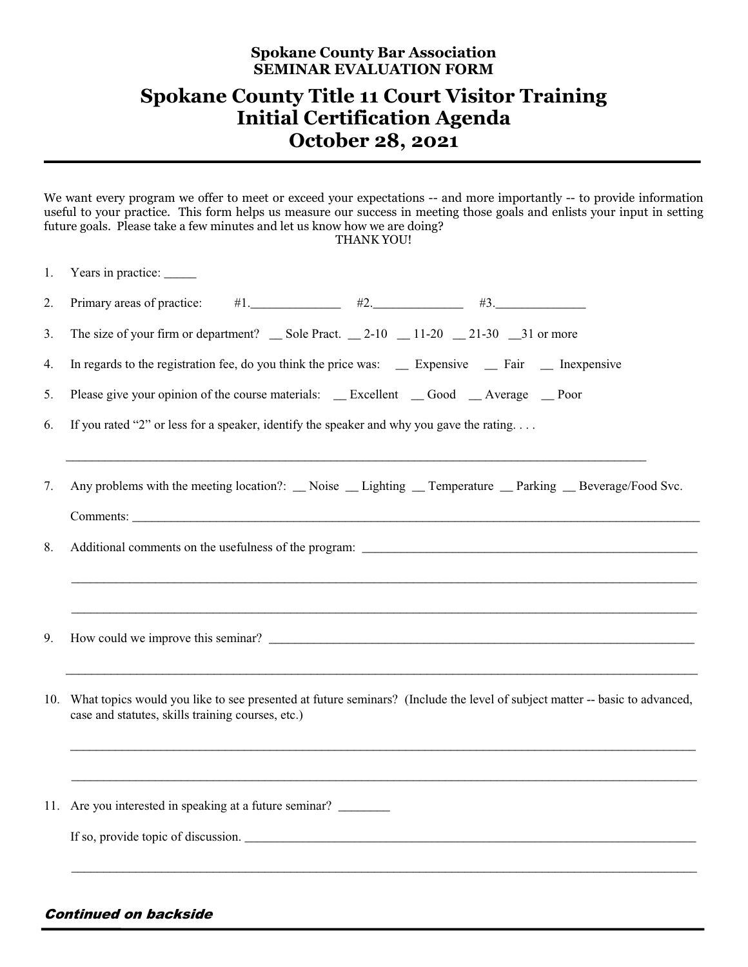## **Spokane County Bar Association SEMINAR EVALUATION FORM**

## **Spokane County Title 11 Court Visitor Training Initial Certification Agenda October 28, 2021**

We want every program we offer to meet or exceed your expectations -- and more importantly -- to provide information useful to your practice. This form helps us measure our success in meeting those goals and enlists your input in setting future goals. Please take a few minutes and let us know how we are doing? THANK YOU!

| 1. | Years in practice:                                                                                                                                                                  |  |  |  |  |  |  |  |
|----|-------------------------------------------------------------------------------------------------------------------------------------------------------------------------------------|--|--|--|--|--|--|--|
| 2. | $#1$ . $#2$ . $#3$ . $#3$ .<br>Primary areas of practice:                                                                                                                           |  |  |  |  |  |  |  |
| 3. | The size of your firm or department? $\_\$ Sole Pract. $\_\$ 2-10 $\_\$ 11-20 $\_\$ 21-30 $\_\$ 31 or more                                                                          |  |  |  |  |  |  |  |
| 4. | In regards to the registration fee, do you think the price was: __ Expensive __ Fair __ Inexpensive                                                                                 |  |  |  |  |  |  |  |
| 5. | Please give your opinion of the course materials: _ Excellent _ Good _ Average _ Poor                                                                                               |  |  |  |  |  |  |  |
| 6. | If you rated "2" or less for a speaker, identify the speaker and why you gave the rating                                                                                            |  |  |  |  |  |  |  |
| 7. | Any problems with the meeting location?: _Noise _Lighting _Temperature _Parking _Beverage/Food Svc.                                                                                 |  |  |  |  |  |  |  |
|    |                                                                                                                                                                                     |  |  |  |  |  |  |  |
| 8. |                                                                                                                                                                                     |  |  |  |  |  |  |  |
| 9. | How could we improve this seminar?                                                                                                                                                  |  |  |  |  |  |  |  |
|    | 10. What topics would you like to see presented at future seminars? (Include the level of subject matter -- basic to advanced,<br>case and statutes, skills training courses, etc.) |  |  |  |  |  |  |  |
|    |                                                                                                                                                                                     |  |  |  |  |  |  |  |
|    | 11. Are you interested in speaking at a future seminar?                                                                                                                             |  |  |  |  |  |  |  |
|    | If so, provide topic of discussion.                                                                                                                                                 |  |  |  |  |  |  |  |
|    |                                                                                                                                                                                     |  |  |  |  |  |  |  |

Continued on backside